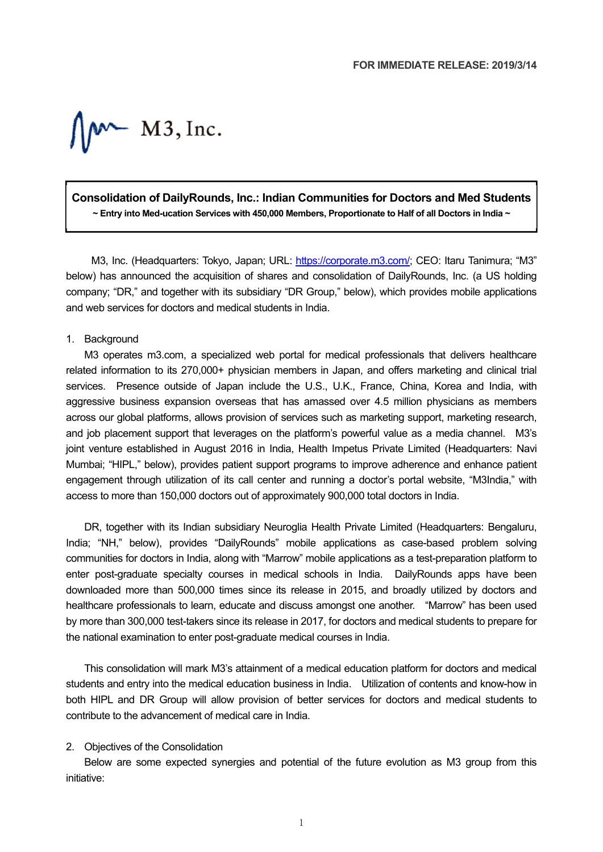$\int_{\mathcal{M}}$  M3, Inc.

# **Consolidation of DailyRounds, Inc.: Indian Communities for Doctors and Med Students ~ Entry into Med-ucation Services with 450,000 Members, Proportionate to Half of all Doctors in India ~**

M3, Inc. (Headquarters: Tokyo, Japan; URL: https://corporate.m3.com/; CEO: Itaru Tanimura; "M3" below) has announced the acquisition of shares and consolidation of DailyRounds, Inc. (a US holding company; "DR," and together with its subsidiary "DR Group," below), which provides mobile applications and web services for doctors and medical students in India.

#### 1. Background

M3 operates m3.com, a specialized web portal for medical professionals that delivers healthcare related information to its 270,000+ physician members in Japan, and offers marketing and clinical trial services. Presence outside of Japan include the U.S., U.K., France, China, Korea and India, with aggressive business expansion overseas that has amassed over 4.5 million physicians as members across our global platforms, allows provision of services such as marketing support, marketing research, and job placement support that leverages on the platform's powerful value as a media channel. M3's joint venture established in August 2016 in India, Health Impetus Private Limited (Headquarters: Navi Mumbai; "HIPL," below), provides patient support programs to improve adherence and enhance patient engagement through utilization of its call center and running a doctor's portal website, "M3India," with access to more than 150,000 doctors out of approximately 900,000 total doctors in India.

DR, together with its Indian subsidiary Neuroglia Health Private Limited (Headquarters: Bengaluru, India; "NH," below), provides "DailyRounds" mobile applications as case-based problem solving communities for doctors in India, along with "Marrow" mobile applications as a test-preparation platform to enter post-graduate specialty courses in medical schools in India. DailyRounds apps have been downloaded more than 500,000 times since its release in 2015, and broadly utilized by doctors and healthcare professionals to learn, educate and discuss amongst one another. "Marrow" has been used by more than 300,000 test-takers since its release in 2017, for doctors and medical students to prepare for the national examination to enter post-graduate medical courses in India.

This consolidation will mark M3's attainment of a medical education platform for doctors and medical students and entry into the medical education business in India. Utilization of contents and know-how in both HIPL and DR Group will allow provision of better services for doctors and medical students to contribute to the advancement of medical care in India.

#### 2. Objectives of the Consolidation

Below are some expected synergies and potential of the future evolution as M3 group from this initiative: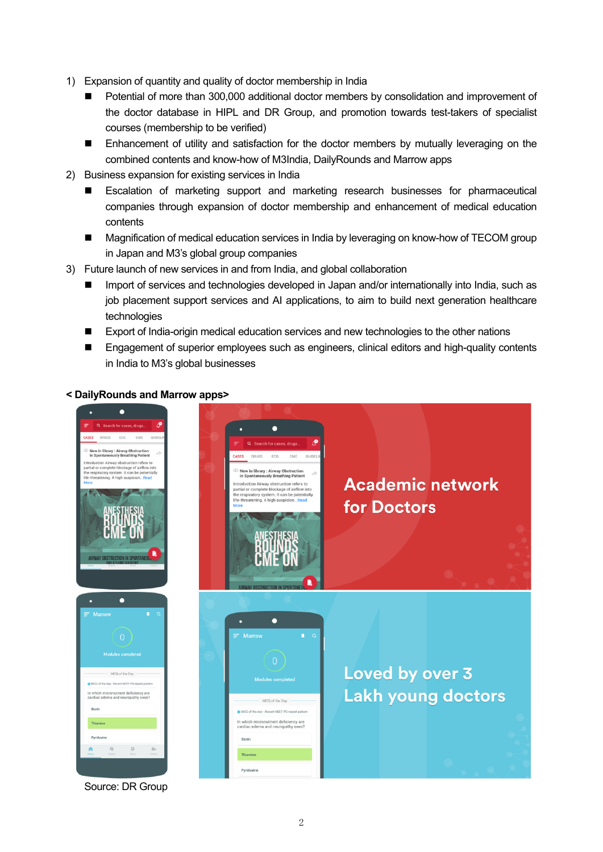- 1) Expansion of quantity and quality of doctor membership in India
	- Potential of more than 300,000 additional doctor members by consolidation and improvement of the doctor database in HIPL and DR Group, and promotion towards test-takers of specialist courses (membership to be verified)
	- **Enhancement of utility and satisfaction for the doctor members by mutually leveraging on the** combined contents and know-how of M3India, DailyRounds and Marrow apps
- 2) Business expansion for existing services in India
	- Escalation of marketing support and marketing research businesses for pharmaceutical companies through expansion of doctor membership and enhancement of medical education contents
	- Magnification of medical education services in India by leveraging on know-how of TECOM group in Japan and M3's global group companies
- 3) Future launch of new services in and from India, and global collaboration
	- Import of services and technologies developed in Japan and/or internationally into India, such as job placement support services and AI applications, to aim to build next generation healthcare technologies
	- Export of India-origin medical education services and new technologies to the other nations
	- **Engagement of superior employees such as engineers, clinical editors and high-quality contents** in India to M3's global businesses

### **< DailyRounds and Marrow apps>**



Source: DR Group